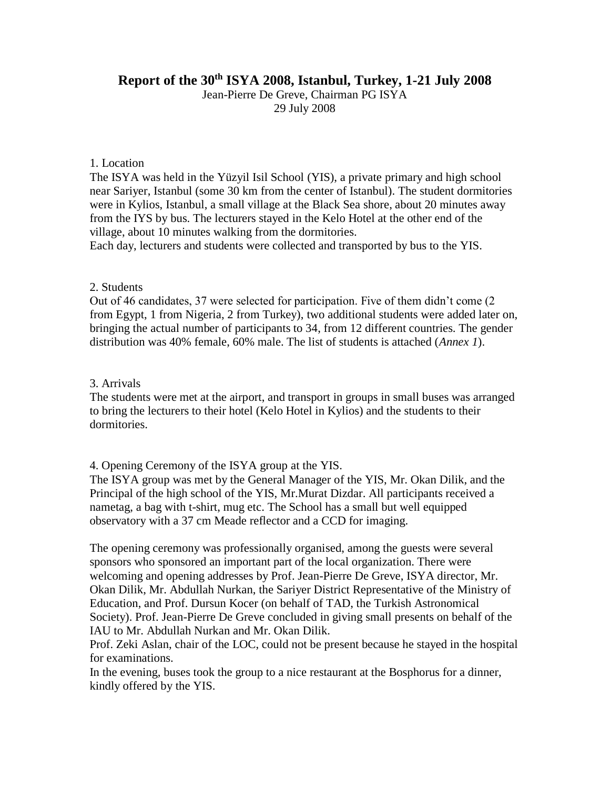# **Report of the 30th ISYA 2008, Istanbul, Turkey, 1-21 July 2008**

Jean-Pierre De Greve, Chairman PG ISYA 29 July 2008

#### 1. Location

The ISYA was held in the Yüzyil Isil School (YIS), a private primary and high school near Sariyer, Istanbul (some 30 km from the center of Istanbul). The student dormitories were in Kylios, Istanbul, a small village at the Black Sea shore, about 20 minutes away from the IYS by bus. The lecturers stayed in the Kelo Hotel at the other end of the village, about 10 minutes walking from the dormitories.

Each day, lecturers and students were collected and transported by bus to the YIS.

#### 2. Students

Out of 46 candidates, 37 were selected for participation. Five of them didn't come (2 from Egypt, 1 from Nigeria, 2 from Turkey), two additional students were added later on, bringing the actual number of participants to 34, from 12 different countries. The gender distribution was 40% female, 60% male. The list of students is attached (*Annex 1*).

#### 3. Arrivals

The students were met at the airport, and transport in groups in small buses was arranged to bring the lecturers to their hotel (Kelo Hotel in Kylios) and the students to their dormitories.

4. Opening Ceremony of the ISYA group at the YIS.

The ISYA group was met by the General Manager of the YIS, Mr. Okan Dilik, and the Principal of the high school of the YIS, Mr.Murat Dizdar. All participants received a nametag, a bag with t-shirt, mug etc. The School has a small but well equipped observatory with a 37 cm Meade reflector and a CCD for imaging.

The opening ceremony was professionally organised, among the guests were several sponsors who sponsored an important part of the local organization. There were welcoming and opening addresses by Prof. Jean-Pierre De Greve, ISYA director, Mr. Okan Dilik, Mr. Abdullah Nurkan, the Sariyer District Representative of the Ministry of Education, and Prof. Dursun Kocer (on behalf of TAD, the Turkish Astronomical Society). Prof. Jean-Pierre De Greve concluded in giving small presents on behalf of the IAU to Mr. Abdullah Nurkan and Mr. Okan Dilik.

Prof. Zeki Aslan, chair of the LOC, could not be present because he stayed in the hospital for examinations.

In the evening, buses took the group to a nice restaurant at the Bosphorus for a dinner, kindly offered by the YIS.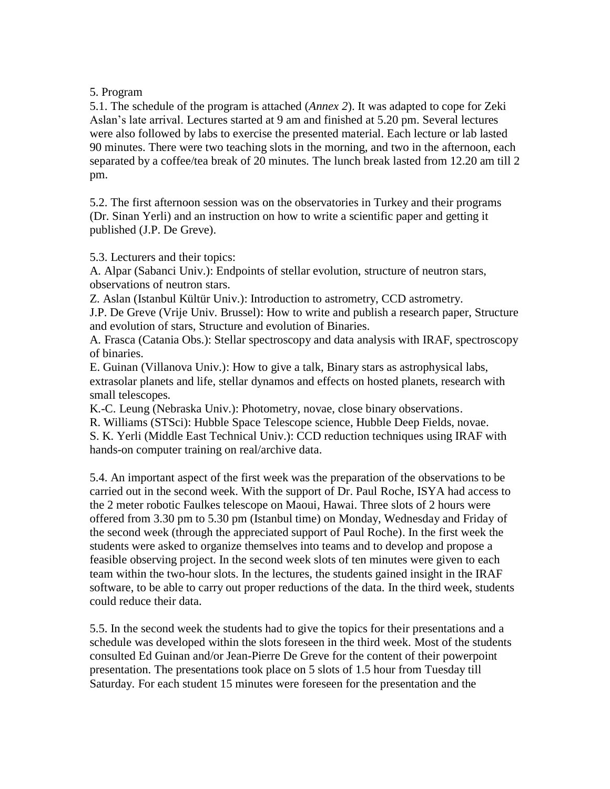## 5. Program

5.1. The schedule of the program is attached (*Annex 2*). It was adapted to cope for Zeki Aslan's late arrival. Lectures started at 9 am and finished at 5.20 pm. Several lectures were also followed by labs to exercise the presented material. Each lecture or lab lasted 90 minutes. There were two teaching slots in the morning, and two in the afternoon, each separated by a coffee/tea break of 20 minutes. The lunch break lasted from 12.20 am till 2 pm.

5.2. The first afternoon session was on the observatories in Turkey and their programs (Dr. Sinan Yerli) and an instruction on how to write a scientific paper and getting it published (J.P. De Greve).

5.3. Lecturers and their topics:

A. Alpar (Sabanci Univ.): Endpoints of stellar evolution, structure of neutron stars, observations of neutron stars.

Z. Aslan (Istanbul Kültür Univ.): Introduction to astrometry, CCD astrometry.

J.P. De Greve (Vrije Univ. Brussel): How to write and publish a research paper, Structure and evolution of stars, Structure and evolution of Binaries.

A. Frasca (Catania Obs.): Stellar spectroscopy and data analysis with IRAF, spectroscopy of binaries.

E. Guinan (Villanova Univ.): How to give a talk, Binary stars as astrophysical labs, extrasolar planets and life, stellar dynamos and effects on hosted planets, research with small telescopes.

K.-C. Leung (Nebraska Univ.): Photometry, novae, close binary observations.

R. Williams (STSci): Hubble Space Telescope science, Hubble Deep Fields, novae.

S. K. Yerli (Middle East Technical Univ.): CCD reduction techniques using IRAF with hands-on computer training on real/archive data.

5.4. An important aspect of the first week was the preparation of the observations to be carried out in the second week. With the support of Dr. Paul Roche, ISYA had access to the 2 meter robotic Faulkes telescope on Maoui, Hawai. Three slots of 2 hours were offered from 3.30 pm to 5.30 pm (Istanbul time) on Monday, Wednesday and Friday of the second week (through the appreciated support of Paul Roche). In the first week the students were asked to organize themselves into teams and to develop and propose a feasible observing project. In the second week slots of ten minutes were given to each team within the two-hour slots. In the lectures, the students gained insight in the IRAF software, to be able to carry out proper reductions of the data. In the third week, students could reduce their data.

5.5. In the second week the students had to give the topics for their presentations and a schedule was developed within the slots foreseen in the third week. Most of the students consulted Ed Guinan and/or Jean-Pierre De Greve for the content of their powerpoint presentation. The presentations took place on 5 slots of 1.5 hour from Tuesday till Saturday. For each student 15 minutes were foreseen for the presentation and the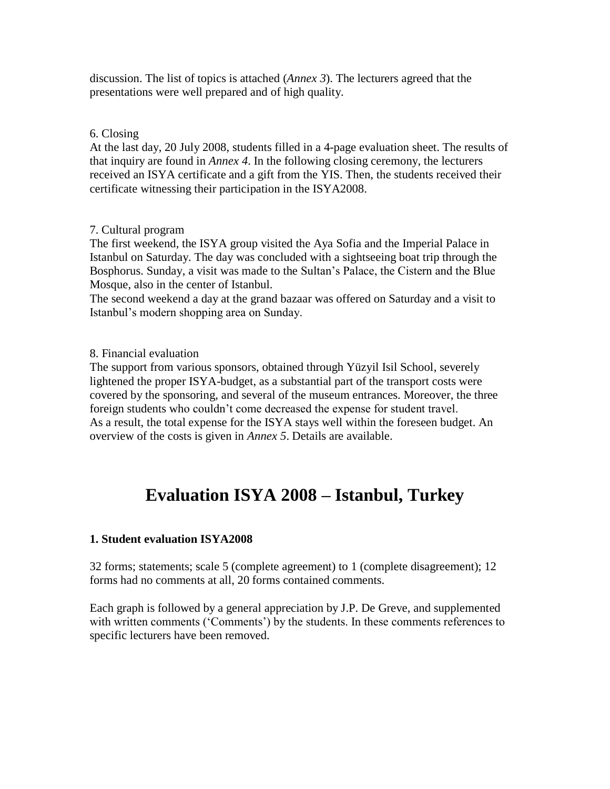discussion. The list of topics is attached (*Annex 3*). The lecturers agreed that the presentations were well prepared and of high quality.

# 6. Closing

At the last day, 20 July 2008, students filled in a 4-page evaluation sheet. The results of that inquiry are found in *Annex 4*. In the following closing ceremony, the lecturers received an ISYA certificate and a gift from the YIS. Then, the students received their certificate witnessing their participation in the ISYA2008.

## 7. Cultural program

The first weekend, the ISYA group visited the Aya Sofia and the Imperial Palace in Istanbul on Saturday. The day was concluded with a sightseeing boat trip through the Bosphorus. Sunday, a visit was made to the Sultan's Palace, the Cistern and the Blue Mosque, also in the center of Istanbul.

The second weekend a day at the grand bazaar was offered on Saturday and a visit to Istanbul's modern shopping area on Sunday.

## 8. Financial evaluation

The support from various sponsors, obtained through Yüzyil Isil School, severely lightened the proper ISYA-budget, as a substantial part of the transport costs were covered by the sponsoring, and several of the museum entrances. Moreover, the three foreign students who couldn't come decreased the expense for student travel. As a result, the total expense for the ISYA stays well within the foreseen budget. An overview of the costs is given in *Annex 5*. Details are available.

# **Evaluation ISYA 2008 – Istanbul, Turkey**

# **1. Student evaluation ISYA2008**

32 forms; statements; scale 5 (complete agreement) to 1 (complete disagreement); 12 forms had no comments at all, 20 forms contained comments.

Each graph is followed by a general appreciation by J.P. De Greve, and supplemented with written comments ('Comments') by the students. In these comments references to specific lecturers have been removed.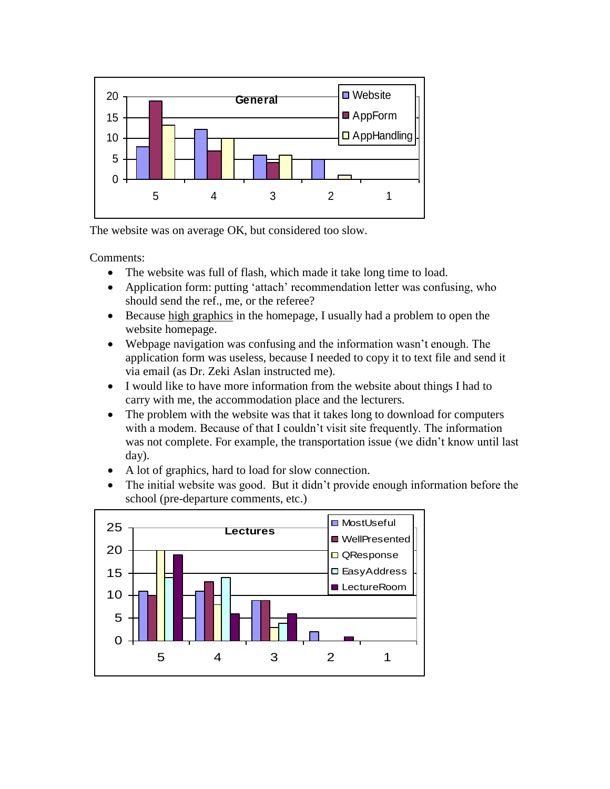

The website was on average OK, but considered too slow.

- The website was full of flash, which made it take long time to load.
- Application form: putting 'attach' recommendation letter was confusing, who should send the ref., me, or the referee?
- Because high graphics in the homepage, I usually had a problem to open the website homepage.
- Webpage navigation was confusing and the information wasn't enough. The application form was useless, because I needed to copy it to text file and send it via email (as Dr. Zeki Aslan instructed me).
- I would like to have more information from the website about things I had to carry with me, the accommodation place and the lecturers.
- The problem with the website was that it takes long to download for computers with a modem. Because of that I couldn't visit site frequently. The information was not complete. For example, the transportation issue (we didn't know until last day).
- A lot of graphics, hard to load for slow connection.
- The initial website was good. But it didn't provide enough information before the school (pre-departure comments, etc.)

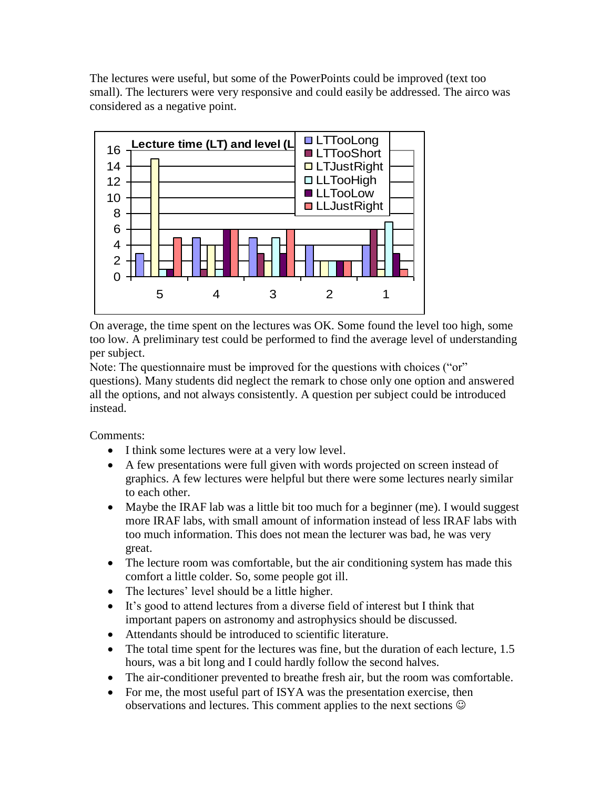The lectures were useful, but some of the PowerPoints could be improved (text too small). The lecturers were very responsive and could easily be addressed. The airco was considered as a negative point.



On average, the time spent on the lectures was OK. Some found the level too high, some too low. A preliminary test could be performed to find the average level of understanding per subject.

Note: The questionnaire must be improved for the questions with choices ("or" questions). Many students did neglect the remark to chose only one option and answered all the options, and not always consistently. A question per subject could be introduced instead.

- I think some lectures were at a very low level.
- A few presentations were full given with words projected on screen instead of graphics. A few lectures were helpful but there were some lectures nearly similar to each other.
- Maybe the IRAF lab was a little bit too much for a beginner (me). I would suggest more IRAF labs, with small amount of information instead of less IRAF labs with too much information. This does not mean the lecturer was bad, he was very great.
- The lecture room was comfortable, but the air conditioning system has made this comfort a little colder. So, some people got ill.
- The lectures' level should be a little higher.
- It's good to attend lectures from a diverse field of interest but I think that important papers on astronomy and astrophysics should be discussed.
- Attendants should be introduced to scientific literature.
- The total time spent for the lectures was fine, but the duration of each lecture, 1.5 hours, was a bit long and I could hardly follow the second halves.
- The air-conditioner prevented to breathe fresh air, but the room was comfortable.
- For me, the most useful part of ISYA was the presentation exercise, then observations and lectures. This comment applies to the next sections  $\odot$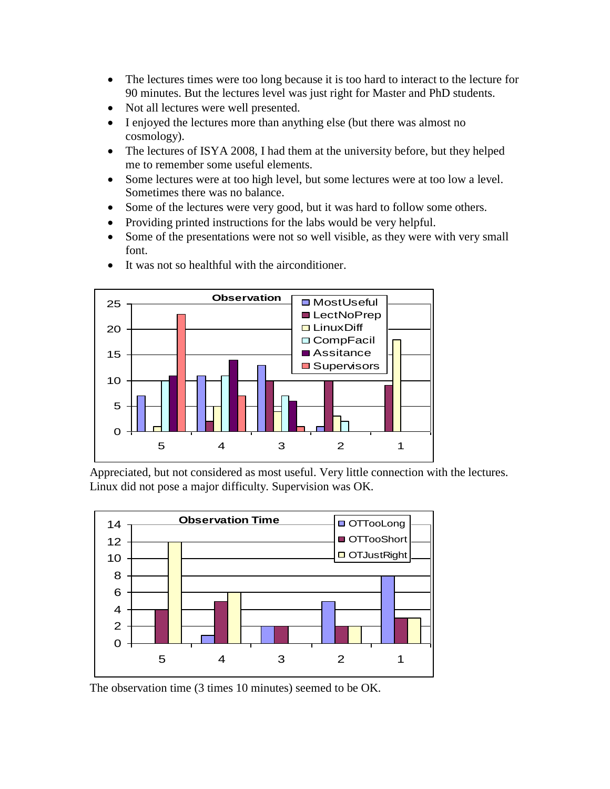- The lectures times were too long because it is too hard to interact to the lecture for 90 minutes. But the lectures level was just right for Master and PhD students.
- Not all lectures were well presented.
- I enjoyed the lectures more than anything else (but there was almost no cosmology).
- The lectures of ISYA 2008, I had them at the university before, but they helped me to remember some useful elements.
- Some lectures were at too high level, but some lectures were at too low a level. Sometimes there was no balance.
- Some of the lectures were very good, but it was hard to follow some others.
- Providing printed instructions for the labs would be very helpful.
- Some of the presentations were not so well visible, as they were with very small font.



It was not so healthful with the airconditioner.

Appreciated, but not considered as most useful. Very little connection with the lectures. Linux did not pose a major difficulty. Supervision was OK.



The observation time (3 times 10 minutes) seemed to be OK.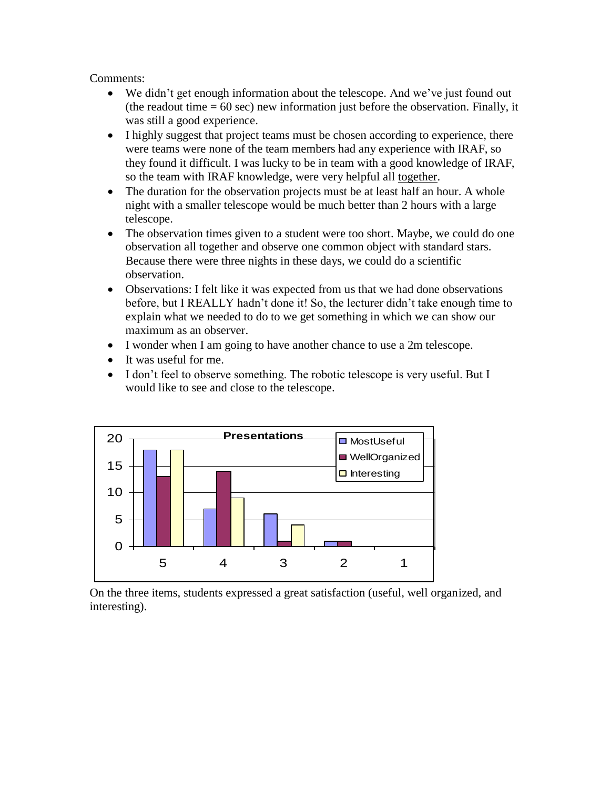- We didn't get enough information about the telescope. And we've just found out (the readout time  $= 60$  sec) new information just before the observation. Finally, it was still a good experience.
- I highly suggest that project teams must be chosen according to experience, there were teams were none of the team members had any experience with IRAF, so they found it difficult. I was lucky to be in team with a good knowledge of IRAF, so the team with IRAF knowledge, were very helpful all together.
- The duration for the observation projects must be at least half an hour. A whole night with a smaller telescope would be much better than 2 hours with a large telescope.
- The observation times given to a student were too short. Maybe, we could do one observation all together and observe one common object with standard stars. Because there were three nights in these days, we could do a scientific observation.
- Observations: I felt like it was expected from us that we had done observations before, but I REALLY hadn't done it! So, the lecturer didn't take enough time to explain what we needed to do to we get something in which we can show our maximum as an observer.
- I wonder when I am going to have another chance to use a 2m telescope.
- It was useful for me.
- I don't feel to observe something. The robotic telescope is very useful. But I would like to see and close to the telescope.



On the three items, students expressed a great satisfaction (useful, well organized, and interesting).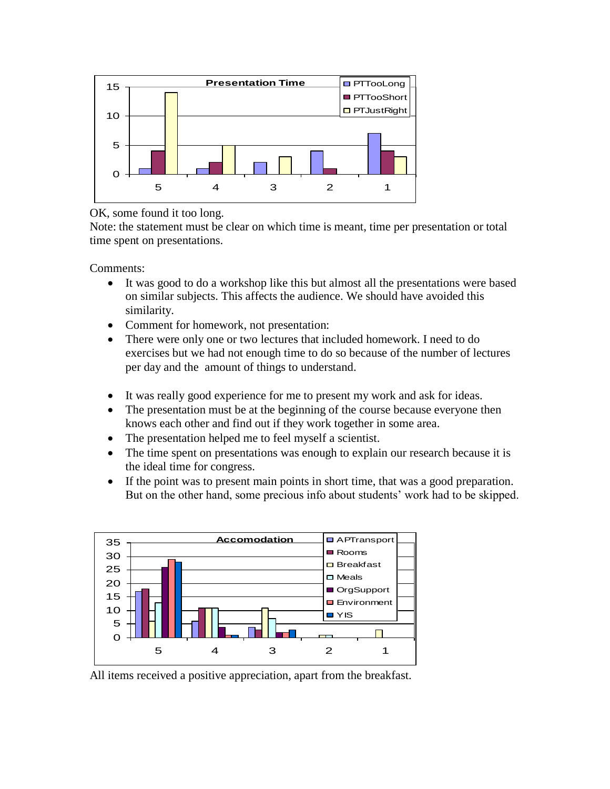

## OK, some found it too long.

Note: the statement must be clear on which time is meant, time per presentation or total time spent on presentations.

Comments:

- It was good to do a workshop like this but almost all the presentations were based on similar subjects. This affects the audience. We should have avoided this similarity.
- Comment for homework, not presentation:
- There were only one or two lectures that included homework. I need to do exercises but we had not enough time to do so because of the number of lectures per day and the amount of things to understand.
- It was really good experience for me to present my work and ask for ideas.
- The presentation must be at the beginning of the course because everyone then knows each other and find out if they work together in some area.
- The presentation helped me to feel myself a scientist.
- The time spent on presentations was enough to explain our research because it is the ideal time for congress.
- If the point was to present main points in short time, that was a good preparation. But on the other hand, some precious info about students' work had to be skipped.



All items received a positive appreciation, apart from the breakfast.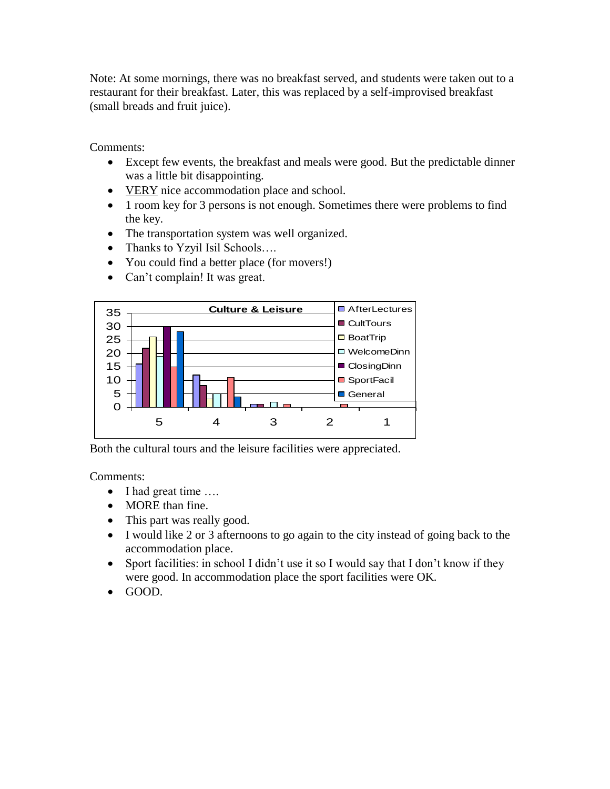Note: At some mornings, there was no breakfast served, and students were taken out to a restaurant for their breakfast. Later, this was replaced by a self-improvised breakfast (small breads and fruit juice).

Comments:

- Except few events, the breakfast and meals were good. But the predictable dinner was a little bit disappointing.
- VERY nice accommodation place and school.
- 1 room key for 3 persons is not enough. Sometimes there were problems to find the key.
- The transportation system was well organized.
- Thanks to Yzyil Isil Schools....
- You could find a better place (for movers!)
- Can't complain! It was great.



Both the cultural tours and the leisure facilities were appreciated.

- I had great time ....
- MORE than fine.
- This part was really good.
- I would like 2 or 3 afternoons to go again to the city instead of going back to the accommodation place.
- Sport facilities: in school I didn't use it so I would say that I don't know if they were good. In accommodation place the sport facilities were OK.
- GOOD.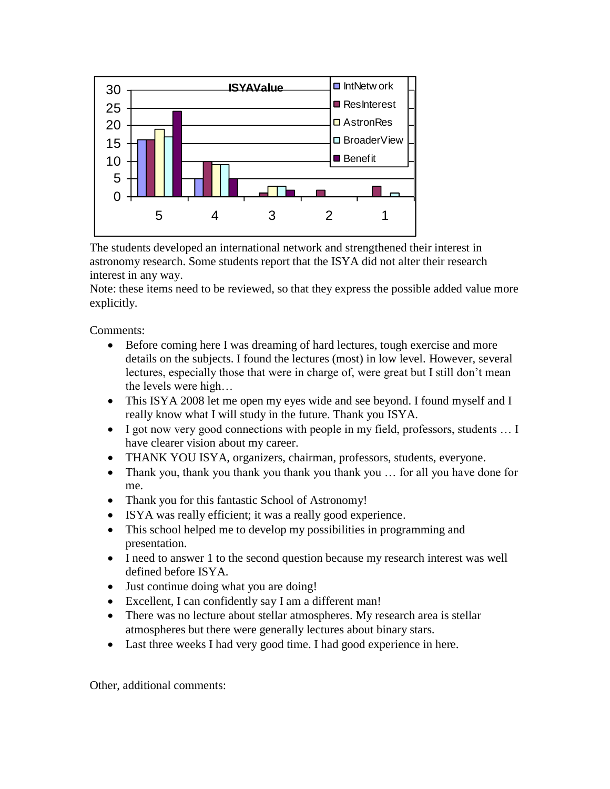

The students developed an international network and strengthened their interest in astronomy research. Some students report that the ISYA did not alter their research interest in any way.

Note: these items need to be reviewed, so that they express the possible added value more explicitly.

Comments:

- Before coming here I was dreaming of hard lectures, tough exercise and more details on the subjects. I found the lectures (most) in low level. However, several lectures, especially those that were in charge of, were great but I still don't mean the levels were high…
- This ISYA 2008 let me open my eyes wide and see beyond. I found myself and I really know what I will study in the future. Thank you ISYA.
- I got now very good connections with people in my field, professors, students … I have clearer vision about my career.
- THANK YOU ISYA, organizers, chairman, professors, students, everyone.
- Thank you, thank you thank you thank you thank you ... for all you have done for me.
- Thank you for this fantastic School of Astronomy!
- ISYA was really efficient; it was a really good experience.
- This school helped me to develop my possibilities in programming and presentation.
- I need to answer 1 to the second question because my research interest was well defined before ISYA.
- Just continue doing what you are doing!
- Excellent, I can confidently say I am a different man!
- There was no lecture about stellar atmospheres. My research area is stellar atmospheres but there were generally lectures about binary stars.
- Last three weeks I had very good time. I had good experience in here.

Other, additional comments: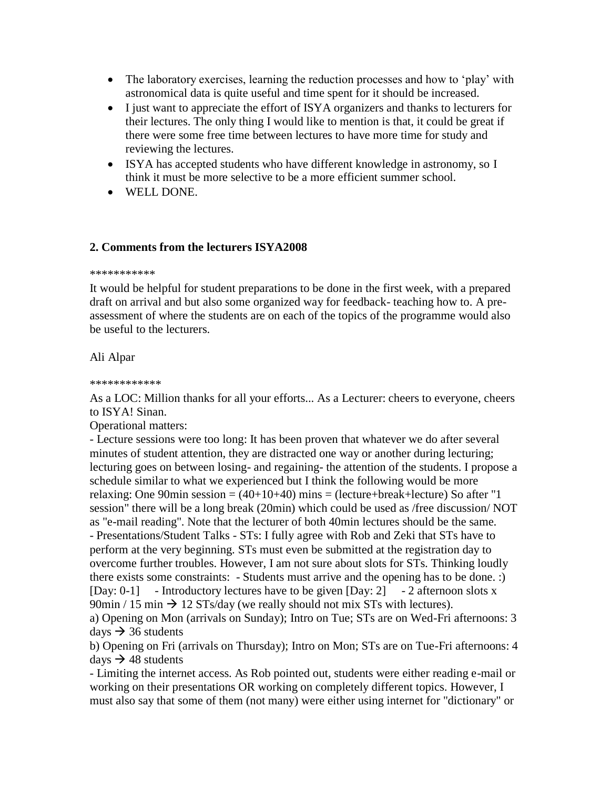- The laboratory exercises, learning the reduction processes and how to 'play' with astronomical data is quite useful and time spent for it should be increased.
- I just want to appreciate the effort of ISYA organizers and thanks to lecturers for their lectures. The only thing I would like to mention is that, it could be great if there were some free time between lectures to have more time for study and reviewing the lectures.
- ISYA has accepted students who have different knowledge in astronomy, so I think it must be more selective to be a more efficient summer school.
- WELL DONE.

## **2. Comments from the lecturers ISYA2008**

#### \*\*\*\*\*\*\*\*\*\*\*

It would be helpful for student preparations to be done in the first week, with a prepared draft on arrival and but also some organized way for feedback- teaching how to. A preassessment of where the students are on each of the topics of the programme would also be useful to the lecturers.

## Ali Alpar

#### \*\*\*\*\*\*\*\*\*\*\*\*

As a LOC: Million thanks for all your efforts... As a Lecturer: cheers to everyone, cheers to ISYA! Sinan.

Operational matters:

- Lecture sessions were too long: It has been proven that whatever we do after several minutes of student attention, they are distracted one way or another during lecturing; lecturing goes on between losing- and regaining- the attention of the students. I propose a schedule similar to what we experienced but I think the following would be more relaxing: One 90min session =  $(40+10+40)$  mins =  $(lecture+break+lecture)$  So after "1 session" there will be a long break (20min) which could be used as /free discussion/ NOT as "e-mail reading". Note that the lecturer of both 40min lectures should be the same. - Presentations/Student Talks - STs: I fully agree with Rob and Zeki that STs have to perform at the very beginning. STs must even be submitted at the registration day to overcome further troubles. However, I am not sure about slots for STs. Thinking loudly there exists some constraints: - Students must arrive and the opening has to be done. :) [Day: 0-1] - Introductory lectures have to be given [Day: 2] - 2 afternoon slots x 90min / 15 min  $\rightarrow$  12 STs/day (we really should not mix STs with lectures). a) Opening on Mon (arrivals on Sunday); Intro on Tue; STs are on Wed-Fri afternoons: 3 days  $\rightarrow$  36 students

b) Opening on Fri (arrivals on Thursday); Intro on Mon; STs are on Tue-Fri afternoons: 4 days  $\rightarrow$  48 students

- Limiting the internet access. As Rob pointed out, students were either reading e-mail or working on their presentations OR working on completely different topics. However, I must also say that some of them (not many) were either using internet for "dictionary" or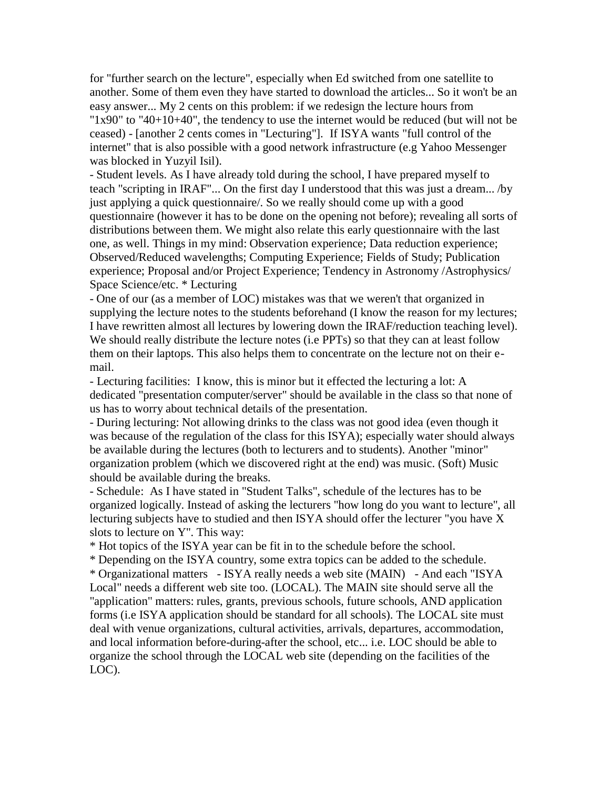for "further search on the lecture", especially when Ed switched from one satellite to another. Some of them even they have started to download the articles... So it won't be an easy answer... My 2 cents on this problem: if we redesign the lecture hours from " $1x90$ " to " $40+10+40$ ", the tendency to use the internet would be reduced (but will not be ceased) - [another 2 cents comes in "Lecturing"]. If ISYA wants "full control of the internet" that is also possible with a good network infrastructure (e.g Yahoo Messenger was blocked in Yuzyil Isil).

- Student levels. As I have already told during the school, I have prepared myself to teach "scripting in IRAF"... On the first day I understood that this was just a dream... /by just applying a quick questionnaire/. So we really should come up with a good questionnaire (however it has to be done on the opening not before); revealing all sorts of distributions between them. We might also relate this early questionnaire with the last one, as well. Things in my mind: Observation experience; Data reduction experience; Observed/Reduced wavelengths; Computing Experience; Fields of Study; Publication experience; Proposal and/or Project Experience; Tendency in Astronomy /Astrophysics/ Space Science/etc. \* Lecturing

- One of our (as a member of LOC) mistakes was that we weren't that organized in supplying the lecture notes to the students beforehand (I know the reason for my lectures; I have rewritten almost all lectures by lowering down the IRAF/reduction teaching level). We should really distribute the lecture notes (i.e PPTs) so that they can at least follow them on their laptops. This also helps them to concentrate on the lecture not on their email.

- Lecturing facilities: I know, this is minor but it effected the lecturing a lot: A dedicated "presentation computer/server" should be available in the class so that none of us has to worry about technical details of the presentation.

- During lecturing: Not allowing drinks to the class was not good idea (even though it was because of the regulation of the class for this ISYA); especially water should always be available during the lectures (both to lecturers and to students). Another "minor" organization problem (which we discovered right at the end) was music. (Soft) Music should be available during the breaks.

- Schedule: As I have stated in "Student Talks", schedule of the lectures has to be organized logically. Instead of asking the lecturers "how long do you want to lecture", all lecturing subjects have to studied and then ISYA should offer the lecturer "you have X slots to lecture on Y". This way:

\* Hot topics of the ISYA year can be fit in to the schedule before the school.

\* Depending on the ISYA country, some extra topics can be added to the schedule. \* Organizational matters - ISYA really needs a web site (MAIN) - And each "ISYA Local" needs a different web site too. (LOCAL). The MAIN site should serve all the "application" matters: rules, grants, previous schools, future schools, AND application forms (i.e ISYA application should be standard for all schools). The LOCAL site must deal with venue organizations, cultural activities, arrivals, departures, accommodation, and local information before-during-after the school, etc... i.e. LOC should be able to organize the school through the LOCAL web site (depending on the facilities of the LOC).